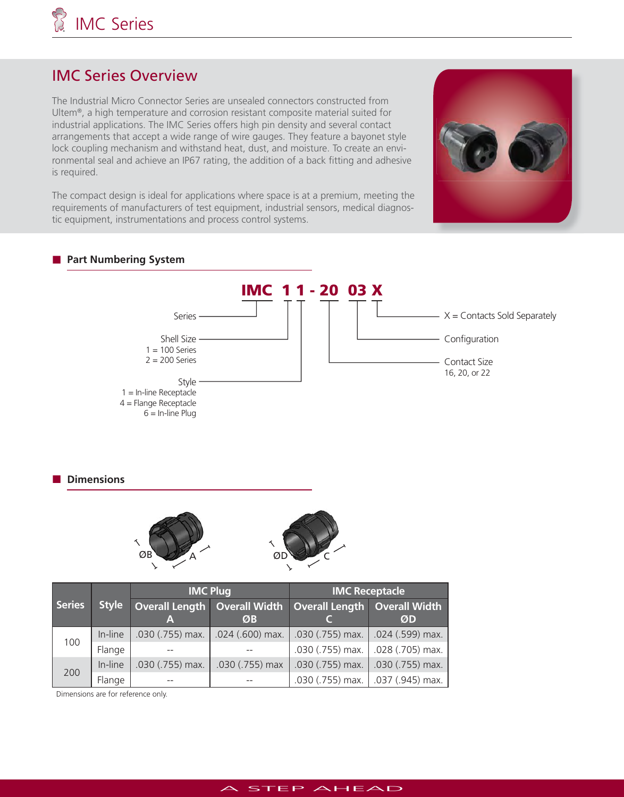# IMC Series Overview

The Industrial Micro Connector Series are unsealed connectors constructed from Ultem®, a high temperature and corrosion resistant composite material suited for industrial applications. The IMC Series offers high pin density and several contact arrangements that accept a wide range of wire gauges. They feature a bayonet style lock coupling mechanism and withstand heat, dust, and moisture. To create an environmental seal and achieve an IP67 rating, the addition of a back fitting and adhesive is required.

The compact design is ideal for applications where space is at a premium, meeting the requirements of manufacturers of test equipment, industrial sensors, medical diagnostic equipment, instrumentations and process control systems.



# **Part Numbering System**



**Dimensions** 



|               |              | <b>IMC Plug</b>  |                    | <b>IMC Receptacle</b>                                           |                          |
|---------------|--------------|------------------|--------------------|-----------------------------------------------------------------|--------------------------|
| <b>Series</b> | <b>Style</b> |                  | ØB                 | Overall Length   Overall Width   Overall Length   Overall Width | ØD                       |
| 100           | In-line      | .030 (.755) max. | $.024$ (.600) max. | $0.030$ (.755) max.  024 (.599) max.                            |                          |
|               | Flange       |                  |                    | $.030$ (.755) max. $\vert .028$ (.705) max.                     |                          |
| 200           | In-line      | .030 (.755) max. | .030 (.755) max    | .030 (.755) max.                                                | $\vert$ .030 (.755) max. |
|               | Flange       |                  |                    | $0.030$ (.755) max. $\vert$ .037 (.945) max.                    |                          |

Dimensions are for reference only.

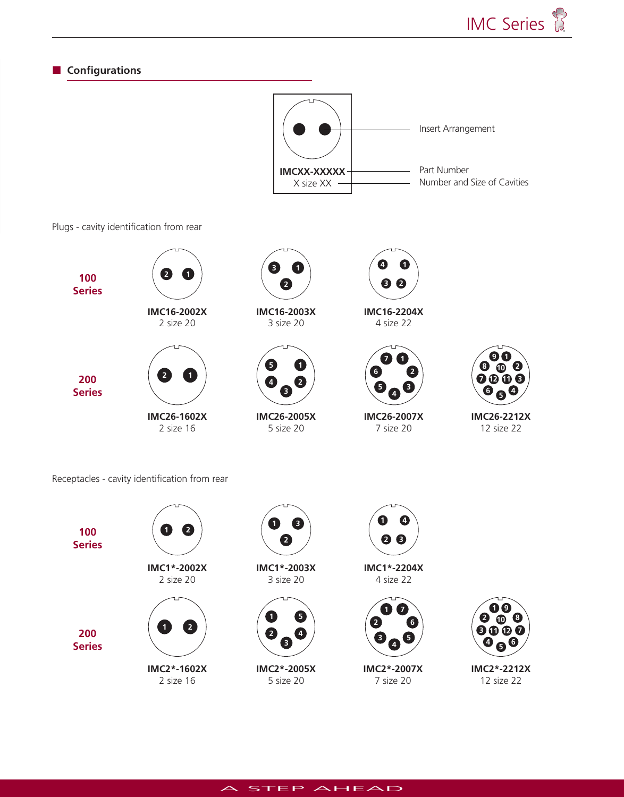**8**







A STEP AHEAD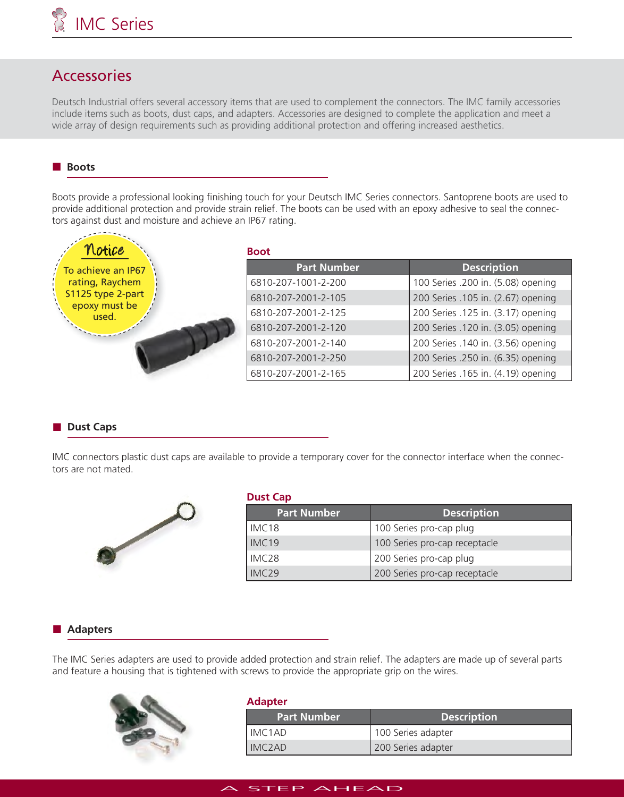# Accessories

Deutsch Industrial offers several accessory items that are used to complement the connectors. The IMC family accessories include items such as boots, dust caps, and adapters. Accessories are designed to complete the application and meet a wide array of design requirements such as providing additional protection and offering increased aesthetics.

## **Boots**

Boots provide a professional looking finishing touch for your Deutsch IMC Series connectors. Santoprene boots are used to provide additional protection and provide strain relief. The boots can be used with an epoxy adhesive to seal the connectors against dust and moisture and achieve an IP67 rating.

| Notice                 | <b>Boot</b>         |                                    |  |  |
|------------------------|---------------------|------------------------------------|--|--|
| To achieve an IP67     | Part Number         | <b>Description</b>                 |  |  |
| rating, Raychem        | 6810-207-1001-2-200 | 100 Series .200 in. (5.08) opening |  |  |
| S1125 type 2-part      | 6810-207-2001-2-105 | 200 Series .105 in. (2.67) opening |  |  |
| epoxy must be<br>used. | 6810-207-2001-2-125 | 200 Series .125 in. (3.17) opening |  |  |
|                        | 6810-207-2001-2-120 | 200 Series .120 in. (3.05) opening |  |  |
|                        | 6810-207-2001-2-140 | 200 Series .140 in. (3.56) opening |  |  |
|                        | 6810-207-2001-2-250 | 200 Series .250 in. (6.35) opening |  |  |
|                        | 6810-207-2001-2-165 | 200 Series .165 in. (4.19) opening |  |  |

## **Dust Caps**

IMC connectors plastic dust caps are available to provide a temporary cover for the connector interface when the connectors are not mated.



| <b>Dust Cap</b>   |                               |  |  |
|-------------------|-------------------------------|--|--|
| Part Number       | <b>Description</b>            |  |  |
| IMC <sub>18</sub> | 100 Series pro-cap plug       |  |  |
| IMC <sub>19</sub> | 100 Series pro-cap receptacle |  |  |
| IMC <sub>28</sub> | 200 Series pro-cap plug       |  |  |
| IMC <sub>29</sub> | 200 Series pro-cap receptacle |  |  |

## **Adapters**

The IMC Series adapters are used to provide added protection and strain relief. The adapters are made up of several parts and feature a housing that is tightened with screws to provide the appropriate grip on the wires.



#### **Adapter**

| <b>Part Number</b>  | <b>Description</b> |
|---------------------|--------------------|
| IMC <sub>1</sub> AD | 100 Series adapter |
| IMC <sub>2</sub> AD | 200 Series adapter |

## STEP AHEAD